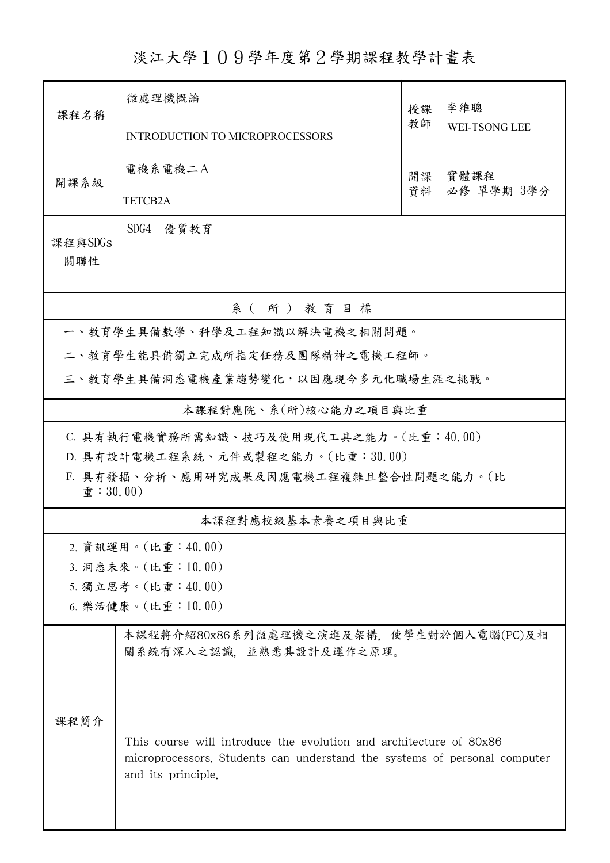淡江大學109學年度第2學期課程教學計畫表

| 課程名稱                                                                     | 微處理機概論                                                                                                                                                                |    | 李維聰                  |  |  |  |  |  |
|--------------------------------------------------------------------------|-----------------------------------------------------------------------------------------------------------------------------------------------------------------------|----|----------------------|--|--|--|--|--|
|                                                                          | <b>INTRODUCTION TO MICROPROCESSORS</b>                                                                                                                                | 教師 | <b>WEI-TSONG LEE</b> |  |  |  |  |  |
| 開課系級                                                                     | 電機系電機二A                                                                                                                                                               | 開課 | 實體課程<br>必修 單學期 3學分   |  |  |  |  |  |
|                                                                          | <b>TETCB2A</b>                                                                                                                                                        | 資料 |                      |  |  |  |  |  |
| 課程與SDGs<br>關聯性                                                           | SDG4 優質教育                                                                                                                                                             |    |                      |  |  |  |  |  |
| 系(所)教育目標                                                                 |                                                                                                                                                                       |    |                      |  |  |  |  |  |
| 一、教育學生具備數學、科學及工程知識以解決電機之相關問題。                                            |                                                                                                                                                                       |    |                      |  |  |  |  |  |
| 二、教育學生能具備獨立完成所指定任務及團隊精神之電機工程師。                                           |                                                                                                                                                                       |    |                      |  |  |  |  |  |
| 三、教育學生具備洞悉電機產業趨勢變化,以因應現今多元化職場生涯之挑戰。                                      |                                                                                                                                                                       |    |                      |  |  |  |  |  |
| 本課程對應院、系(所)核心能力之項目與比重                                                    |                                                                                                                                                                       |    |                      |  |  |  |  |  |
| C. 具有執行電機實務所需知識、技巧及使用現代工具之能力。(比重:40.00)                                  |                                                                                                                                                                       |    |                      |  |  |  |  |  |
|                                                                          | D. 具有設計電機工程系統、元件或製程之能力。(比重:30.00)                                                                                                                                     |    |                      |  |  |  |  |  |
| F. 具有發掘、分析、應用研究成果及因應電機工程複雜且整合性問題之能力。(比<br>$\hat{\mathbf{\Psi}}$ : 30.00) |                                                                                                                                                                       |    |                      |  |  |  |  |  |
| 本課程對應校級基本素養之項目與比重                                                        |                                                                                                                                                                       |    |                      |  |  |  |  |  |
|                                                                          | 2. 資訊運用。(比重:40.00)                                                                                                                                                    |    |                      |  |  |  |  |  |
| 3. 洞悉未來。(比重:10.00)                                                       |                                                                                                                                                                       |    |                      |  |  |  |  |  |
|                                                                          | 5. 獨立思考。(比重:40.00)                                                                                                                                                    |    |                      |  |  |  |  |  |
|                                                                          | 6. 樂活健康。(比重:10.00)                                                                                                                                                    |    |                      |  |  |  |  |  |
| 課程簡介                                                                     | 本課程將介紹80x86系列微處理機之演進及架構,使學生對於個人電腦(PC)及相<br>關系統有深入之認識。並熟悉其設計及運作之原理。                                                                                                    |    |                      |  |  |  |  |  |
|                                                                          | This course will introduce the evolution and architecture of 80x86<br>microprocessors. Students can understand the systems of personal computer<br>and its principle. |    |                      |  |  |  |  |  |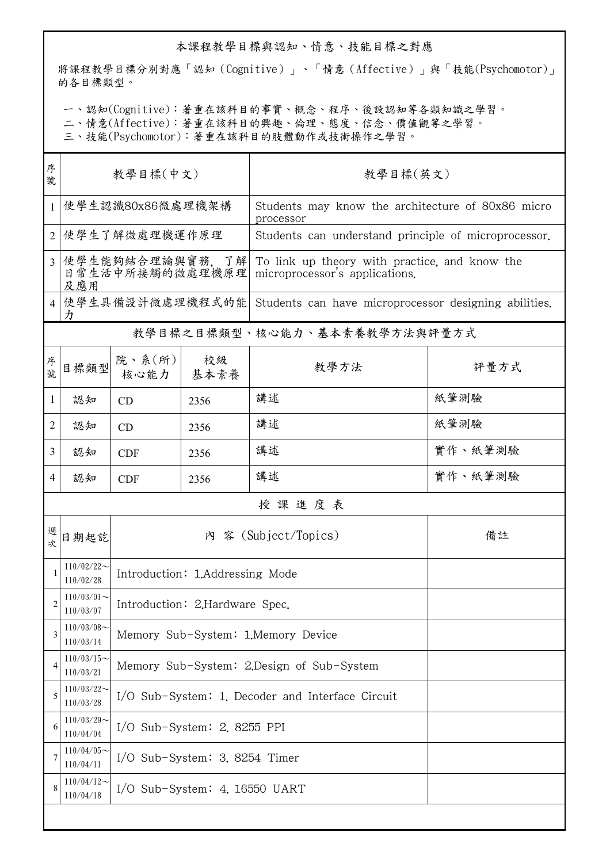## 本課程教學目標與認知、情意、技能目標之對應

將課程教學目標分別對應「認知(Cognitive)」、「情意(Affective)」與「技能(Psychomotor)」 的各目標類型。

一、認知(Cognitive):著重在該科目的事實、概念、程序、後設認知等各類知識之學習。

二、情意(Affective):著重在該科目的興趣、倫理、態度、信念、價值觀等之學習。

三、技能(Psychomotor):著重在該科目的肢體動作或技術操作之學習。

| 序<br>號         | 教學目標(中文)                                  |                                                  |            | 教學目標(英文)                                                                        |         |  |  |  |
|----------------|-------------------------------------------|--------------------------------------------------|------------|---------------------------------------------------------------------------------|---------|--|--|--|
| 1              | 使學生認識80x86微處理機架構                          |                                                  |            | Students may know the architecture of 80x86 micro<br>processor                  |         |  |  |  |
| $\overline{2}$ | 使學生了解微處理機運作原理                             |                                                  |            | Students can understand principle of microprocessor.                            |         |  |  |  |
| 3              | 使學生能夠結合理論與實務,了解<br>日常生活中所接觸的微處理機原理<br>及應用 |                                                  |            | To link up theory with practice, and know the<br>microprocessor's applications. |         |  |  |  |
|                | 使學生具備設計微處理機程式的能<br>力                      |                                                  |            | Students can have microprocessor designing abilities.                           |         |  |  |  |
|                | 教學目標之目標類型、核心能力、基本素養教學方法與評量方式              |                                                  |            |                                                                                 |         |  |  |  |
| 序號             | 目標類型                                      | 院、系 $(\kappa)$<br>核心能力                           | 校級<br>基本素養 | 教學方法                                                                            | 評量方式    |  |  |  |
| $\mathbf{1}$   | 認知                                        | CD                                               | 2356       | 講述                                                                              | 紙筆測驗    |  |  |  |
| $\overline{2}$ | 認知                                        | CD                                               | 2356       | 講述                                                                              | 紙筆測驗    |  |  |  |
| 3              | 認知                                        | <b>CDF</b>                                       | 2356       | 講述                                                                              | 實作、紙筆測驗 |  |  |  |
| 4              | 認知                                        | <b>CDF</b>                                       | 2356       | 講述                                                                              | 實作、紙筆測驗 |  |  |  |
|                | 授課進度表                                     |                                                  |            |                                                                                 |         |  |  |  |
| 週<br>坎         | 日期起訖                                      | 內 容 (Subject/Topics)<br>備註                       |            |                                                                                 |         |  |  |  |
|                | $110/02/22$ ~<br>110/02/28                | Introduction: 1.Addressing Mode                  |            |                                                                                 |         |  |  |  |
| 2              | $110/03/01$ ~<br>110/03/07                | Introduction: 2.Hardware Spec.                   |            |                                                                                 |         |  |  |  |
| 3              | $110/03/08$ ~<br>110/03/14                | Memory Sub-System: 1.Memory Device               |            |                                                                                 |         |  |  |  |
| 4              | $110/03/15$ ~<br>110/03/21                | Memory Sub-System: 2.Design of Sub-System        |            |                                                                                 |         |  |  |  |
| 5              | $110/03/22$ ~<br>110/03/28                | I/O Sub-System: 1. Decoder and Interface Circuit |            |                                                                                 |         |  |  |  |
| 6              | $110/03/29$ ~<br>110/04/04                | $I/O$ Sub-System: 2.8255 PPI                     |            |                                                                                 |         |  |  |  |
| 7              | $110/04/05$ ~<br>110/04/11                | $I/O$ Sub-System: 3.8254 Timer                   |            |                                                                                 |         |  |  |  |
| 8              | $110/04/12$ ~<br>110/04/18                | $I/O$ Sub-System: 4. 16550 UART                  |            |                                                                                 |         |  |  |  |
|                |                                           |                                                  |            |                                                                                 |         |  |  |  |